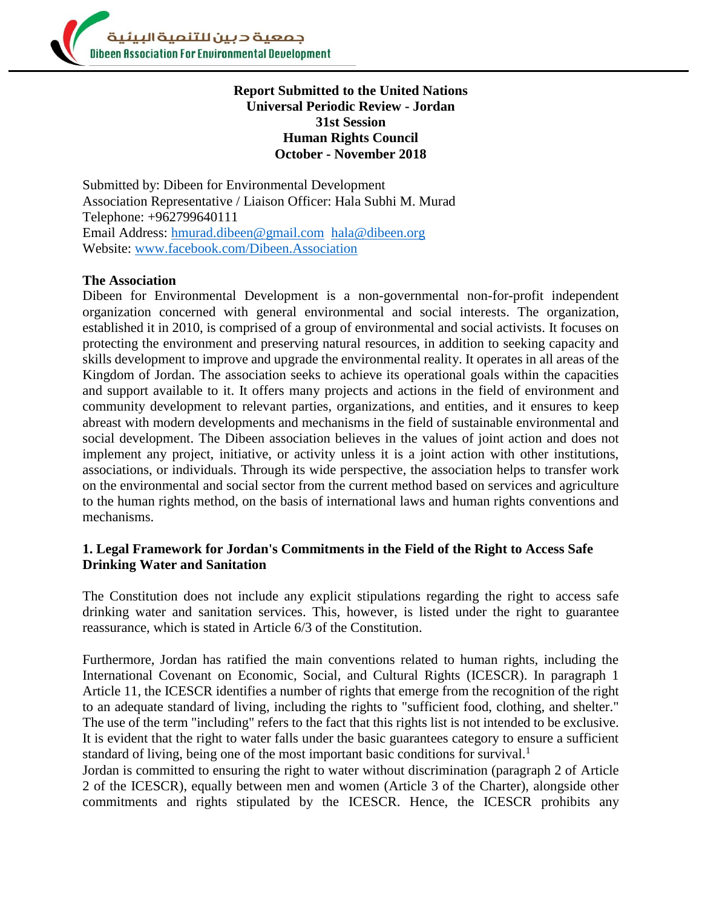

# **Report Submitted to the United Nations Universal Periodic Review - Jordan 31st Session Human Rights Council October - November 2018**

Submitted by: Dibeen for Environmental Development Association Representative / Liaison Officer: Hala Subhi M. Murad Telephone: +962799640111 Email Address: [hmurad.dibeen@gmail.com](mailto:hmurad.dibeen@gmail.com) [hala@dibeen.org](mailto:hala@dibeen.org) Website: [www.facebook.com/Dibeen.Association](http://www.facebook.com/Dibeen.Association)

#### **The Association**

Dibeen for Environmental Development is a non-governmental non-for-profit independent organization concerned with general environmental and social interests. The organization, established it in 2010, is comprised of a group of environmental and social activists. It focuses on protecting the environment and preserving natural resources, in addition to seeking capacity and skills development to improve and upgrade the environmental reality. It operates in all areas of the Kingdom of Jordan. The association seeks to achieve its operational goals within the capacities and support available to it. It offers many projects and actions in the field of environment and community development to relevant parties, organizations, and entities, and it ensures to keep abreast with modern developments and mechanisms in the field of sustainable environmental and social development. The Dibeen association believes in the values of joint action and does not implement any project, initiative, or activity unless it is a joint action with other institutions, associations, or individuals. Through its wide perspective, the association helps to transfer work on the environmental and social sector from the current method based on services and agriculture to the human rights method, on the basis of international laws and human rights conventions and mechanisms.

#### **1. Legal Framework for Jordan's Commitments in the Field of the Right to Access Safe Drinking Water and Sanitation**

The Constitution does not include any explicit stipulations regarding the right to access safe drinking water and sanitation services. This, however, is listed under the right to guarantee reassurance, which is stated in Article 6/3 of the Constitution.

Furthermore, Jordan has ratified the main conventions related to human rights, including the International Covenant on Economic, Social, and Cultural Rights (ICESCR). In paragraph 1 Article 11, the ICESCR identifies a number of rights that emerge from the recognition of the right to an adequate standard of living, including the rights to "sufficient food, clothing, and shelter." The use of the term "including" refers to the fact that this rights list is not intended to be exclusive. It is evident that the right to water falls under the basic guarantees category to ensure a sufficient standard of living, being one of the most important basic conditions for survival.<sup>1</sup>

Jordan is committed to ensuring the right to water without discrimination (paragraph 2 of Article 2 of the ICESCR), equally between men and women (Article 3 of the Charter), alongside other commitments and rights stipulated by the ICESCR. Hence, the ICESCR prohibits any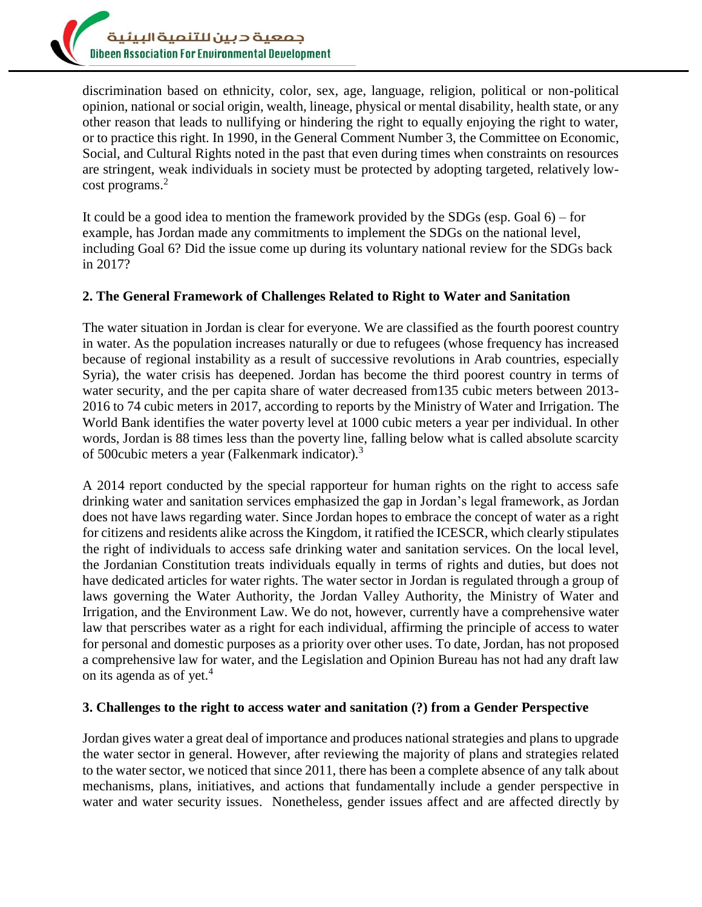

discrimination based on ethnicity, color, sex, age, language, religion, political or non-political opinion, national or social origin, wealth, lineage, physical or mental disability, health state, or any other reason that leads to nullifying or hindering the right to equally enjoying the right to water, or to practice this right. In 1990, in the General Comment Number 3, the Committee on Economic, Social, and Cultural Rights noted in the past that even during times when constraints on resources are stringent, weak individuals in society must be protected by adopting targeted, relatively lowcost programs.<sup>2</sup>

It could be a good idea to mention the framework provided by the SDGs (esp. Goal 6) – for example, has Jordan made any commitments to implement the SDGs on the national level, including Goal 6? Did the issue come up during its voluntary national review for the SDGs back in 2017?

# **2. The General Framework of Challenges Related to Right to Water and Sanitation**

The water situation in Jordan is clear for everyone. We are classified as the fourth poorest country in water. As the population increases naturally or due to refugees (whose frequency has increased because of regional instability as a result of successive revolutions in Arab countries, especially Syria), the water crisis has deepened. Jordan has become the third poorest country in terms of water security, and the per capita share of water decreased from135 cubic meters between 2013- 2016 to 74 cubic meters in 2017, according to reports by the Ministry of Water and Irrigation. The World Bank identifies the water poverty level at 1000 cubic meters a year per individual. In other words, Jordan is 88 times less than the poverty line, falling below what is called absolute scarcity of 500cubic meters a year (Falkenmark indicator).<sup>3</sup>

A 2014 report conducted by the special rapporteur for human rights on the right to access safe drinking water and sanitation services emphasized the gap in Jordan's legal framework, as Jordan does not have laws regarding water. Since Jordan hopes to embrace the concept of water as a right for citizens and residents alike across the Kingdom, it ratified the ICESCR, which clearly stipulates the right of individuals to access safe drinking water and sanitation services. On the local level, the Jordanian Constitution treats individuals equally in terms of rights and duties, but does not have dedicated articles for water rights. The water sector in Jordan is regulated through a group of laws governing the Water Authority, the Jordan Valley Authority, the Ministry of Water and Irrigation, and the Environment Law. We do not, however, currently have a comprehensive water law that perscribes water as a right for each individual, affirming the principle of access to water for personal and domestic purposes as a priority over other uses. To date, Jordan, has not proposed a comprehensive law for water, and the Legislation and Opinion Bureau has not had any draft law on its agenda as of yet. 4

#### **3. Challenges to the right to access water and sanitation (?) from a Gender Perspective**

Jordan gives water a great deal of importance and produces national strategies and plans to upgrade the water sector in general. However, after reviewing the majority of plans and strategies related to the water sector, we noticed that since 2011, there has been a complete absence of any talk about mechanisms, plans, initiatives, and actions that fundamentally include a gender perspective in water and water security issues. Nonetheless, gender issues affect and are affected directly by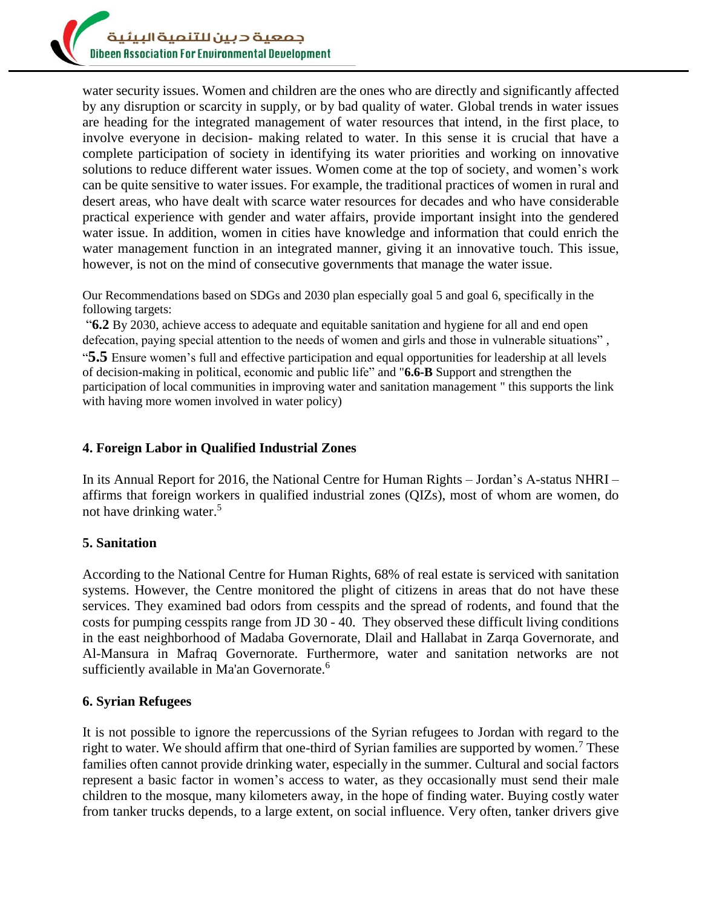

water security issues. Women and children are the ones who are directly and significantly affected by any disruption or scarcity in supply, or by bad quality of water. Global trends in water issues are heading for the integrated management of water resources that intend, in the first place, to involve everyone in decision- making related to water. In this sense it is crucial that have a complete participation of society in identifying its water priorities and working on innovative solutions to reduce different water issues. Women come at the top of society, and women's work can be quite sensitive to water issues. For example, the traditional practices of women in rural and desert areas, who have dealt with scarce water resources for decades and who have considerable practical experience with gender and water affairs, provide important insight into the gendered water issue. In addition, women in cities have knowledge and information that could enrich the water management function in an integrated manner, giving it an innovative touch. This issue, however, is not on the mind of consecutive governments that manage the water issue.

Our Recommendations based on SDGs and 2030 plan especially goal 5 and goal 6, specifically in the following targets:

"**6.2** By 2030, achieve access to adequate and equitable sanitation and hygiene for all and end open defecation, paying special attention to the needs of women and girls and those in vulnerable situations" , "**5.5** Ensure women's full and effective participation and equal opportunities for leadership at all levels of decision-making in political, economic and public life" and "**6.6-B** Support and strengthen the participation of local communities in improving water and sanitation management " this supports the link with having more women involved in water policy)

## **4. Foreign Labor in Qualified Industrial Zones**

In its Annual Report for 2016, the National Centre for Human Rights – Jordan's A-status NHRI – affirms that foreign workers in qualified industrial zones (QIZs), most of whom are women, do not have drinking water.<sup>5</sup>

#### **5. Sanitation**

According to the National Centre for Human Rights, 68% of real estate is serviced with sanitation systems. However, the Centre monitored the plight of citizens in areas that do not have these services. They examined bad odors from cesspits and the spread of rodents, and found that the costs for pumping cesspits range from JD 30 - 40. They observed these difficult living conditions in the east neighborhood of Madaba Governorate, Dlail and Hallabat in Zarqa Governorate, and Al-Mansura in Mafraq Governorate. Furthermore, water and sanitation networks are not sufficiently available in Ma'an Governorate.<sup>6</sup>

# **6. Syrian Refugees**

It is not possible to ignore the repercussions of the Syrian refugees to Jordan with regard to the right to water. We should affirm that one-third of Syrian families are supported by women.<sup>7</sup> These families often cannot provide drinking water, especially in the summer. Cultural and social factors represent a basic factor in women's access to water, as they occasionally must send their male children to the mosque, many kilometers away, in the hope of finding water. Buying costly water from tanker trucks depends, to a large extent, on social influence. Very often, tanker drivers give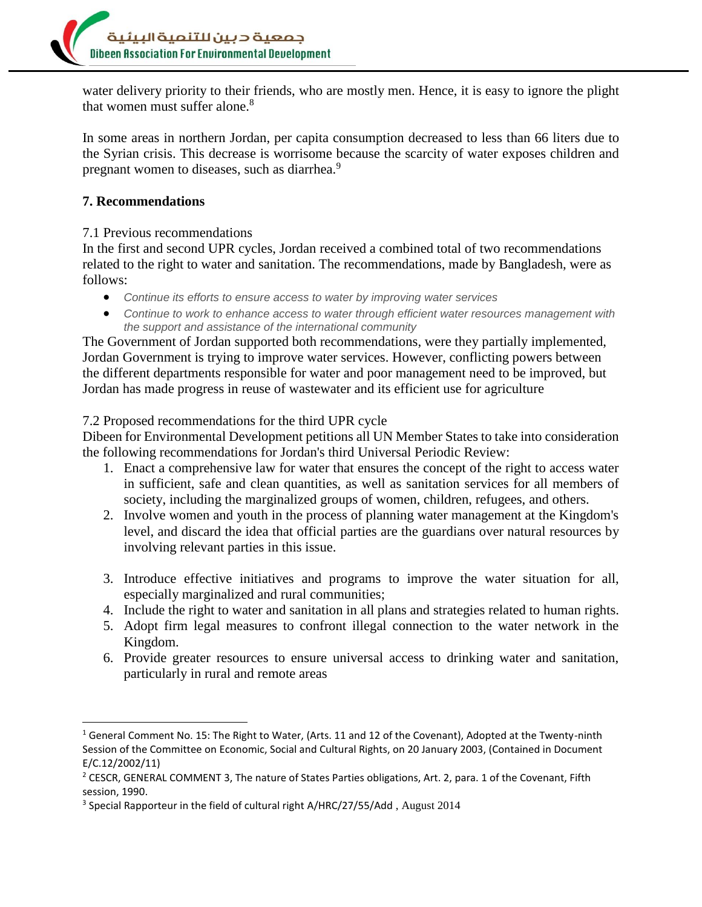

water delivery priority to their friends, who are mostly men. Hence, it is easy to ignore the plight that women must suffer alone.<sup>8</sup>

In some areas in northern Jordan, per capita consumption decreased to less than 66 liters due to the Syrian crisis. This decrease is worrisome because the scarcity of water exposes children and pregnant women to diseases, such as diarrhea.<sup>9</sup>

# **7. Recommendations**

l

# 7.1 Previous recommendations

In the first and second UPR cycles, Jordan received a combined total of two recommendations related to the right to water and sanitation. The recommendations, made by Bangladesh, were as follows:

- *Continue its efforts to ensure access to water by improving water services*
- *Continue to work to enhance access to water through efficient water resources management with the support and assistance of the international community*

The Government of Jordan supported both recommendations, were they partially implemented, Jordan Government is trying to improve water services. However, conflicting powers between the different departments responsible for water and poor management need to be improved, but Jordan has made progress in reuse of wastewater and its efficient use for agriculture

#### 7.2 Proposed recommendations for the third UPR cycle

Dibeen for Environmental Development petitions all UN Member States to take into consideration the following recommendations for Jordan's third Universal Periodic Review:

- 1. Enact a comprehensive law for water that ensures the concept of the right to access water in sufficient, safe and clean quantities, as well as sanitation services for all members of society, including the marginalized groups of women, children, refugees, and others.
- 2. Involve women and youth in the process of planning water management at the Kingdom's level, and discard the idea that official parties are the guardians over natural resources by involving relevant parties in this issue.
- 3. Introduce effective initiatives and programs to improve the water situation for all, especially marginalized and rural communities;
- 4. Include the right to water and sanitation in all plans and strategies related to human rights.
- 5. Adopt firm legal measures to confront illegal connection to the water network in the Kingdom.
- 6. Provide greater resources to ensure universal access to drinking water and sanitation, particularly in rural and remote areas

<sup>&</sup>lt;sup>1</sup> General Comment No. 15: The Right to Water, (Arts. 11 and 12 of the Covenant), Adopted at the Twenty-ninth Session of the Committee on Economic, Social and Cultural Rights, on 20 January 2003, (Contained in Document E/C.12/2002/11)

<sup>&</sup>lt;sup>2</sup> CESCR, GENERAL COMMENT 3, The nature of States Parties obligations, Art. 2, para. 1 of the Covenant, Fifth session, 1990.

<sup>&</sup>lt;sup>3</sup> Special Rapporteur in the field of cultural right A/HRC/27/55/Add, August 2014